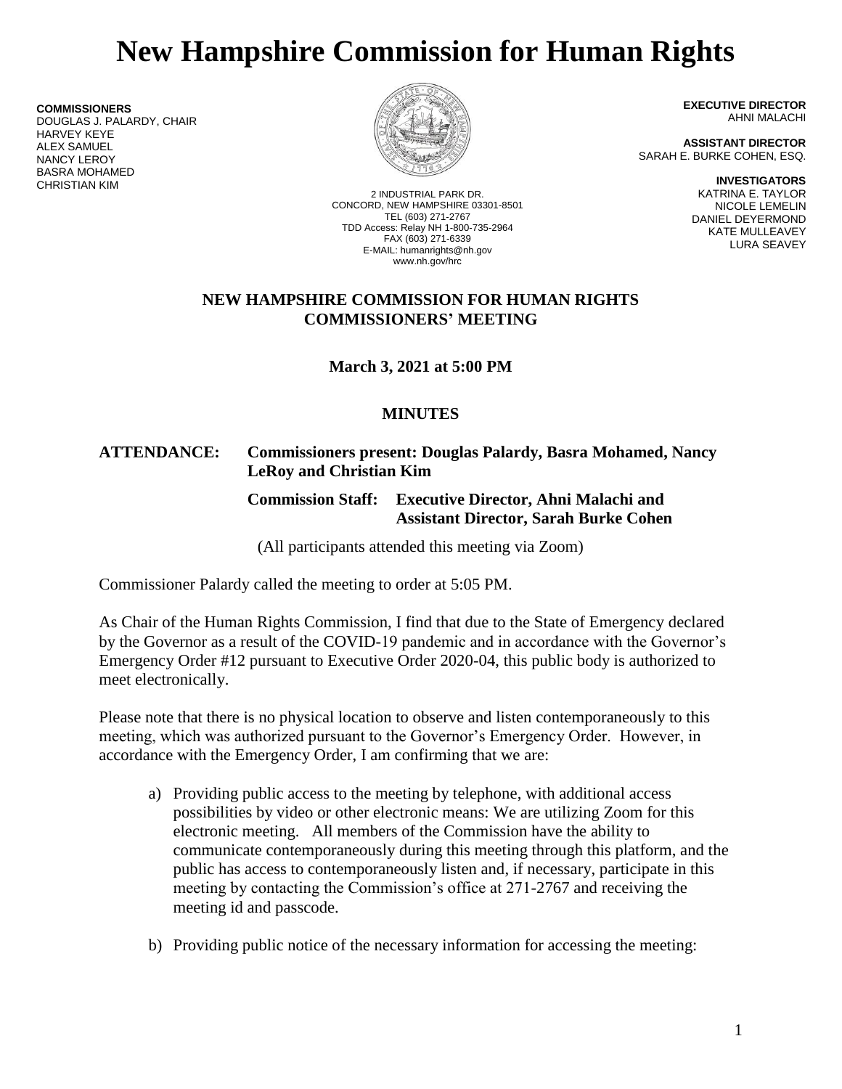# **New Hampshire Commission for Human Rights**

**COMMISSIONERS** DOUGLAS J. PALARDY, CHAIR HARVEY KEYE ALEX SAMUEL NANCY LEROY BASRA MOHAMED CHRISTIAN KIM



2 INDUSTRIAL PARK DR. CONCORD, NEW HAMPSHIRE 03301-8501 TEL (603) 271-2767 TDD Access: Relay NH 1-800-735-2964 FAX (603) 271-6339 E-MAIL: humanrights@nh.gov www.nh.gov/hrc

**EXECUTIVE DIRECTOR** AHNI MALACHI

**ASSISTANT DIRECTOR** SARAH E. BURKE COHEN, ESQ.

> **INVESTIGATORS** KATRINA E. TAYLOR NICOLE LEMELIN DANIEL DEYERMOND KATE MULLEAVEY LURA SEAVEY

## **NEW HAMPSHIRE COMMISSION FOR HUMAN RIGHTS COMMISSIONERS' MEETING**

**March 3, 2021 at 5:00 PM**

# **MINUTES**

# **ATTENDANCE: Commissioners present: Douglas Palardy, Basra Mohamed, Nancy LeRoy and Christian Kim**

# **Commission Staff: Executive Director, Ahni Malachi and Assistant Director, Sarah Burke Cohen**

(All participants attended this meeting via Zoom)

Commissioner Palardy called the meeting to order at 5:05 PM.

As Chair of the Human Rights Commission, I find that due to the State of Emergency declared by the Governor as a result of the COVID-19 pandemic and in accordance with the Governor's Emergency Order #12 pursuant to Executive Order 2020-04, this public body is authorized to meet electronically.

Please note that there is no physical location to observe and listen contemporaneously to this meeting, which was authorized pursuant to the Governor's Emergency Order. However, in accordance with the Emergency Order, I am confirming that we are:

- a) Providing public access to the meeting by telephone, with additional access possibilities by video or other electronic means: We are utilizing Zoom for this electronic meeting. All members of the Commission have the ability to communicate contemporaneously during this meeting through this platform, and the public has access to contemporaneously listen and, if necessary, participate in this meeting by contacting the Commission's office at 271-2767 and receiving the meeting id and passcode.
- b) Providing public notice of the necessary information for accessing the meeting: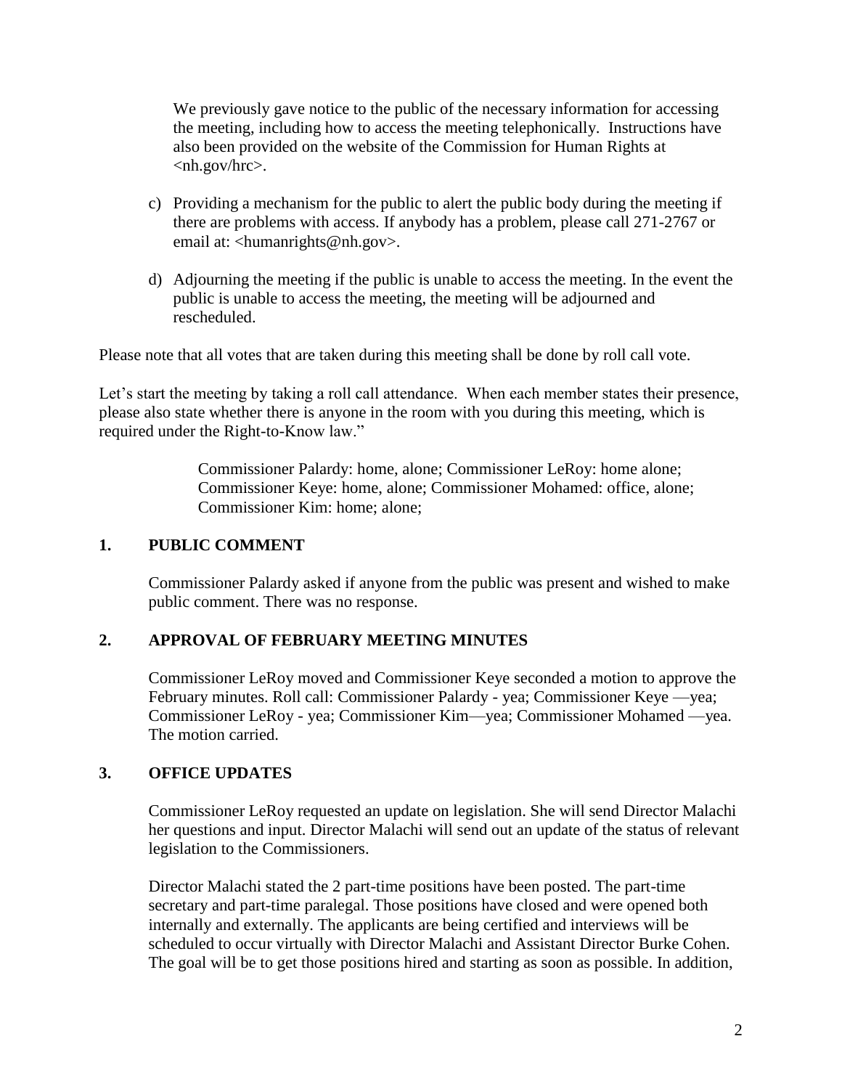We previously gave notice to the public of the necessary information for accessing the meeting, including how to access the meeting telephonically. Instructions have also been provided on the website of the Commission for Human Rights at <nh.gov/hrc>.

- c) Providing a mechanism for the public to alert the public body during the meeting if there are problems with access. If anybody has a problem, please call 271-2767 or email at: <humanrights@nh.gov>.
- d) Adjourning the meeting if the public is unable to access the meeting. In the event the public is unable to access the meeting, the meeting will be adjourned and rescheduled.

Please note that all votes that are taken during this meeting shall be done by roll call vote.

Let's start the meeting by taking a roll call attendance. When each member states their presence, please also state whether there is anyone in the room with you during this meeting, which is required under the Right-to-Know law."

> Commissioner Palardy: home, alone; Commissioner LeRoy: home alone; Commissioner Keye: home, alone; Commissioner Mohamed: office, alone; Commissioner Kim: home; alone;

## **1. PUBLIC COMMENT**

Commissioner Palardy asked if anyone from the public was present and wished to make public comment. There was no response.

## **2. APPROVAL OF FEBRUARY MEETING MINUTES**

Commissioner LeRoy moved and Commissioner Keye seconded a motion to approve the February minutes. Roll call: Commissioner Palardy - yea; Commissioner Keye —yea; Commissioner LeRoy - yea; Commissioner Kim—yea; Commissioner Mohamed —yea. The motion carried.

#### **3. OFFICE UPDATES**

Commissioner LeRoy requested an update on legislation. She will send Director Malachi her questions and input. Director Malachi will send out an update of the status of relevant legislation to the Commissioners.

Director Malachi stated the 2 part-time positions have been posted. The part-time secretary and part-time paralegal. Those positions have closed and were opened both internally and externally. The applicants are being certified and interviews will be scheduled to occur virtually with Director Malachi and Assistant Director Burke Cohen. The goal will be to get those positions hired and starting as soon as possible. In addition,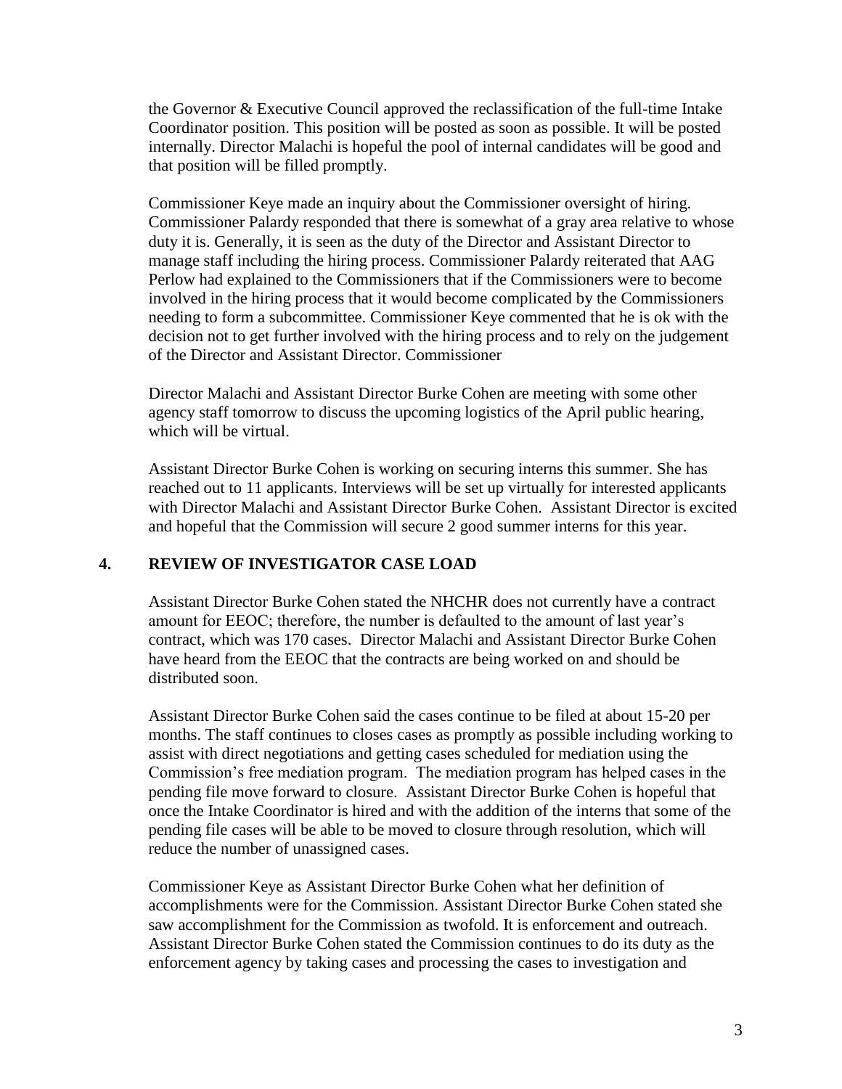the Governor & Executive Council approved the reclassification of the full-time Intake Coordinator position. This position will be posted as soon as possible. It will be posted internally. Director Malachi is hopeful the pool of internal candidates will be good and that position will be filled promptly.

Commissioner Keye made an inquiry about the Commissioner oversight of hiring. Commissioner Palardy responded that there is somewhat of a gray area relative to whose duty it is. Generally, it is seen as the duty of the Director and Assistant Director to manage staff including the hiring process. Commissioner Palardy reiterated that AAG Perlow had explained to the Commissioners that if the Commissioners were to become involved in the hiring process that it would become complicated by the Commissioners needing to form a subcommittee. Commissioner Keye commented that he is ok with the decision not to get further involved with the hiring process and to rely on the judgement of the Director and Assistant Director. Commissioner

Director Malachi and Assistant Director Burke Cohen are meeting with some other agency staff tomorrow to discuss the upcoming logistics of the April public hearing, which will be virtual.

Assistant Director Burke Cohen is working on securing interns this summer. She has reached out to 11 applicants. Interviews will be set up virtually for interested applicants with Director Malachi and Assistant Director Burke Cohen. Assistant Director is excited and hopeful that the Commission will secure 2 good summer interns for this year.

## **4. REVIEW OF INVESTIGATOR CASE LOAD**

Assistant Director Burke Cohen stated the NHCHR does not currently have a contract amount for EEOC; therefore, the number is defaulted to the amount of last year's contract, which was 170 cases. Director Malachi and Assistant Director Burke Cohen have heard from the EEOC that the contracts are being worked on and should be distributed soon.

Assistant Director Burke Cohen said the cases continue to be filed at about 15-20 per months. The staff continues to closes cases as promptly as possible including working to assist with direct negotiations and getting cases scheduled for mediation using the Commission's free mediation program. The mediation program has helped cases in the pending file move forward to closure. Assistant Director Burke Cohen is hopeful that once the Intake Coordinator is hired and with the addition of the interns that some of the pending file cases will be able to be moved to closure through resolution, which will reduce the number of unassigned cases.

Commissioner Keye as Assistant Director Burke Cohen what her definition of accomplishments were for the Commission. Assistant Director Burke Cohen stated she saw accomplishment for the Commission as twofold. It is enforcement and outreach. Assistant Director Burke Cohen stated the Commission continues to do its duty as the enforcement agency by taking cases and processing the cases to investigation and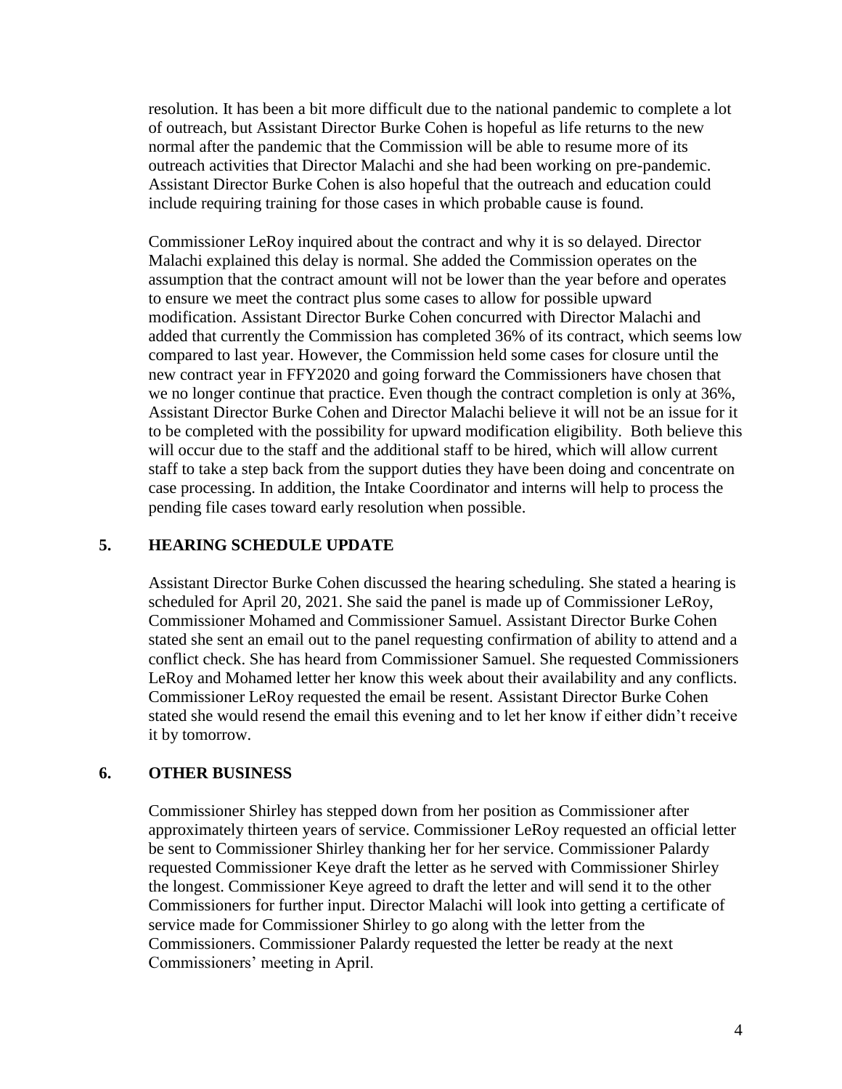resolution. It has been a bit more difficult due to the national pandemic to complete a lot of outreach, but Assistant Director Burke Cohen is hopeful as life returns to the new normal after the pandemic that the Commission will be able to resume more of its outreach activities that Director Malachi and she had been working on pre-pandemic. Assistant Director Burke Cohen is also hopeful that the outreach and education could include requiring training for those cases in which probable cause is found.

Commissioner LeRoy inquired about the contract and why it is so delayed. Director Malachi explained this delay is normal. She added the Commission operates on the assumption that the contract amount will not be lower than the year before and operates to ensure we meet the contract plus some cases to allow for possible upward modification. Assistant Director Burke Cohen concurred with Director Malachi and added that currently the Commission has completed 36% of its contract, which seems low compared to last year. However, the Commission held some cases for closure until the new contract year in FFY2020 and going forward the Commissioners have chosen that we no longer continue that practice. Even though the contract completion is only at 36%, Assistant Director Burke Cohen and Director Malachi believe it will not be an issue for it to be completed with the possibility for upward modification eligibility. Both believe this will occur due to the staff and the additional staff to be hired, which will allow current staff to take a step back from the support duties they have been doing and concentrate on case processing. In addition, the Intake Coordinator and interns will help to process the pending file cases toward early resolution when possible.

## **5. HEARING SCHEDULE UPDATE**

Assistant Director Burke Cohen discussed the hearing scheduling. She stated a hearing is scheduled for April 20, 2021. She said the panel is made up of Commissioner LeRoy, Commissioner Mohamed and Commissioner Samuel. Assistant Director Burke Cohen stated she sent an email out to the panel requesting confirmation of ability to attend and a conflict check. She has heard from Commissioner Samuel. She requested Commissioners LeRoy and Mohamed letter her know this week about their availability and any conflicts. Commissioner LeRoy requested the email be resent. Assistant Director Burke Cohen stated she would resend the email this evening and to let her know if either didn't receive it by tomorrow.

## **6. OTHER BUSINESS**

Commissioner Shirley has stepped down from her position as Commissioner after approximately thirteen years of service. Commissioner LeRoy requested an official letter be sent to Commissioner Shirley thanking her for her service. Commissioner Palardy requested Commissioner Keye draft the letter as he served with Commissioner Shirley the longest. Commissioner Keye agreed to draft the letter and will send it to the other Commissioners for further input. Director Malachi will look into getting a certificate of service made for Commissioner Shirley to go along with the letter from the Commissioners. Commissioner Palardy requested the letter be ready at the next Commissioners' meeting in April.